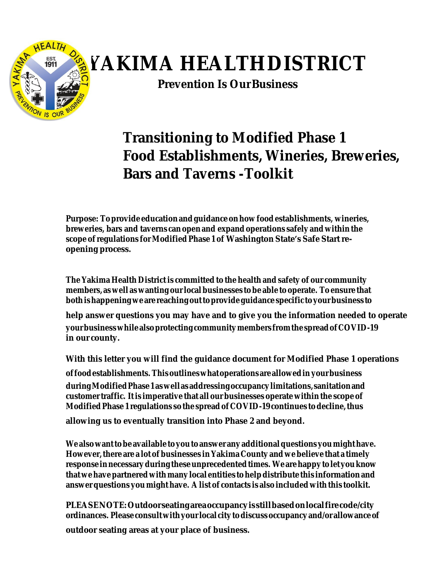

# **YAKIMA HEALTHDISTRICT**

**Prevention Is OurBusiness**

### **Transitioning to Modified Phase 1 Food Establishments, Wineries, Breweries, Bars and Taverns -Toolkit**

**Purpose: Toprovide educationandguidanceonhowfoodestablishments, wineries, breweries, bars and taverns canopenand expand operations safely and within the scope ofregulations forModified Phase 1 of Washington State's Safe Startreopening process.**

**The Yakima Health District is committed to the health and safety of our community members, as well as wanting ourlocalbusinesses tobe able to operate. To ensure that bothishappeningweare reachingouttoprovideguidance specific toyourbusiness to**

**help answer questions you may have and to give you the information needed to operate yourbusinesswhilealsoprotectingcommunitymembers fromthespreadofCOVID-19 in our county.**

**With this letter you will find the guidance document for Modified Phase 1 operations**

**offoodestablishments. Thisoutlineswhatoperationsareallowedin yourbusiness duringModifiedPhase1aswellasaddressingoccupancylimitations,sanitationand customertraffic. Itis imperative that all our businesses operate within the scope of ModifiedPhase 1 regulations so the spreadof COVID-19 continues todecline,thus**

**allowing us to eventually transition into Phase 2 and beyond.**

**We alsowanttobe available toyoutoanswer anyadditionalquestionsyoumighthave. However,there are a lot of businesses inYakima County and webelieve that a timely responseinnecessaryduringtheseunprecedentedtimes. Wearehappytoletyouknow thatwehavepartnered withmanylocal entities tohelpdistribute this informationand answerquestions you might have. Alist of contacts is also included with this toolkit.**

**PLEASENOTE: Outdoorseatingareaoccupancyisstillbasedonlocalfirecode/city ordinances. Pleaseconsultwithyourlocal citytodiscussoccupancyand/or allowanceof outdoor seating areas at your place of business.**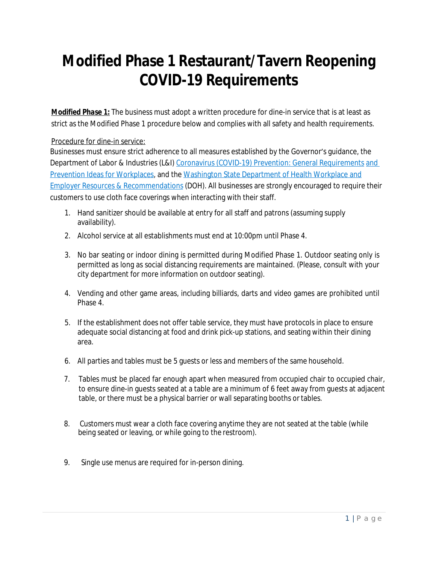## **Modified Phase 1 Restaurant/Tavern Reopening COVID-19 Requirements**

*Modified Phase 1:* The business must adopt a written procedure for dine-in service that is at least as strict as the Modified Phase 1 procedure below and complies with all safety and health requirements.

#### Procedure for dine-in service:

Businesses must ensure strict adherence to all measures established by the Governor's guidance, the Department of Labor & Industries (L&I) Coronavirus (COVID-19) Prevention: General Requirements and Prevention Ideas for Workplaces, and the Washington State Department of Health Workplace and Employer Resources & Recommendations (DOH). All businesses are strongly encouraged to require their customers to use cloth face coverings when interacting with their staff.

- 1. Hand sanitizer should be available at entry for all staff and patrons (assuming supply availability).
- 2. Alcohol service at all establishments must end at 10:00pm until Phase 4.
- 3. No bar seating or indoor dining is permitted during Modified Phase 1. Outdoor seating only is permitted as long as social distancing requirements are maintained. (Please, consult with your city department for more information on outdoor seating).
- 4. Vending and other game areas, including billiards, darts and video games are prohibited until Phase 4.
- 5. If the establishment does not offer table service, they must have protocols in place to ensure adequate social distancing at food and drink pick-up stations, and seating within their dining area.
- 6. All parties and tables must be 5 guests or less and members of the same household.
- 7. Tables must be placed far enough apart when measured from occupied chair to occupied chair, to ensure dine-in guests seated at a table are a minimum of 6 feet away from guests at adjacent table, or there must be a physical barrier or wall separating booths ortables.
- 8. Customers must wear a cloth face covering anytime they are not seated at the table (while being seated or leaving, or while going to the restroom).
- 9. Single use menus are required for in-person dining.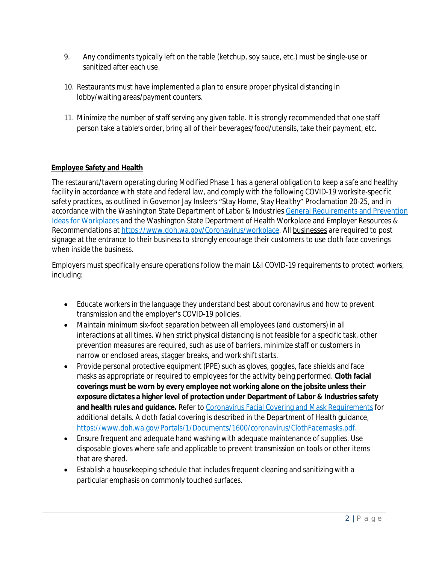- 9. Any condiments typically left on the table (ketchup, soy sauce, etc.) must be single-use or sanitized after each use.
- 10. Restaurants must have implemented a plan to ensure proper physical distancing in lobby/waiting areas/payment counters.
- 11. Minimize the number of staff serving any given table. It is strongly recommended that one staff person take a table's order, bring all of their beverages/food/utensils, take their payment, etc.

#### **Employee Safety and Health**

The restaurant/tavern operating during Modified Phase 1 has a general obligation to keep a safe and healthy facility in accordance with state and federal law, and comply with the following COVID-19 worksite-specific safety practices, as outlined in Governor Jay Inslee's "Stay Home, Stay Healthy" Proclamation 20-25, and in accordance with the Washington State Department of Labor & Industries General Requirements and Prevention Ideas for Workplaces and the Washington State Department of Health Workplace and Employer Resources & Recommendations at [https://www.doh.wa.gov/Coronavirus/workplace](http://www.doh.wa.gov/Coronavirus/workplace). All businesses are required to post signage at the entrance to their business to strongly encourage their customers to use cloth face coverings when inside the business.

Employers must specifically ensure operations follow the main L&I COVID-19 requirements to protect workers, including:

- Educate workers in the language they understand best about coronavirus and how to prevent transmission and the employer's COVID-19 policies.
- Maintain minimum six-foot separation between all employees (and customers) in all interactions at all times. When strict physical distancing is not feasible for a specific task, other prevention measures are required, such as use of barriers, minimize staff or customers in narrow or enclosed areas, stagger breaks, and work shift starts.
- Provide personal protective equipment (PPE) such as gloves, goggles, face shields and face masks as appropriate or required to employees for the activity being performed. **Cloth facial coverings must be worn by every employee not working alone on the jobsite unless their exposure dictates a higher level of protection under Department of Labor & Industries safety**  and health rules and guidance. Refer to Coronavirus Facial Covering and Mask Requirements for additional details. A cloth facial covering is described in the Department of Health guidance, https://[www.doh.wa.gov/Portals/1/Documents/1600/coronavirus/ClothFacemasks.pdf.](http://www.doh.wa.gov/Portals/1/Documents/1600/coronavirus/ClothFacemasks.pdf)
- Ensure frequent and adequate hand washing with adequate maintenance of supplies. Use disposable gloves where safe and applicable to prevent transmission on tools or other items that are shared.
- Establish a housekeeping schedule that includes frequent cleaning and sanitizing with a particular emphasis on commonly touched surfaces.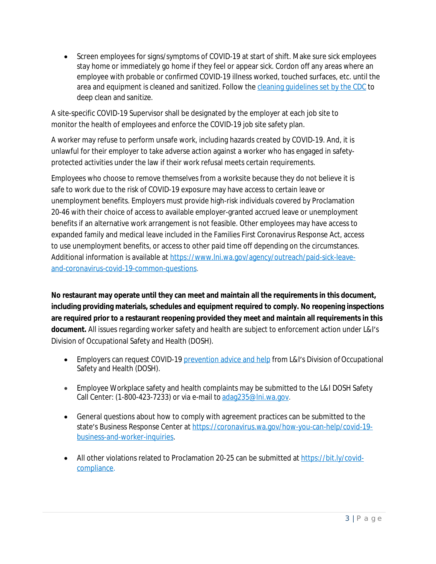• Screen employees for signs/symptoms of COVID-19 at start of shift. Make sure sick employees stay home or immediately go home if they feel or appear sick. Cordon off any areas where an employee with probable or confirmed COVID-19 illness worked, touched surfaces, etc. until the area and equipment is cleaned and sanitized. Follow the cleaning guidelines set by the CDC to deep clean and sanitize.

A site-specific COVID-19 Supervisor shall be designated by the employer at each job site to monitor the health of employees and enforce the COVID-19 job site safety plan.

A worker may refuse to perform unsafe work, including hazards created by COVID-19. And, it is unlawful for their employer to take adverse action against a worker who has engaged in safetyprotected activities under the law if their work refusal meets certain requirements.

Employees who choose to remove themselves from a worksite because they do not believe it is safe to work due to the risk of COVID-19 exposure may have access to certain leave or unemployment benefits. Employers must provide high-risk individuals covered by Proclamation 20-46 with their choice of access to available employer-granted accrued leave or unemployment benefits if an alternative work arrangement is not feasible. Other employees may have access to expanded family and medical leave included in the Families First Coronavirus Response Act, access to use unemployment benefits, or access to other paid time off depending on the circumstances. Additional information is available at https://[www.lni.wa.gov/agency/outreach/paid-sick-leave](http://www.lni.wa.gov/agency/outreach/paid-sick-leave-)and-coronavirus-covid-19-common-questions.

**No restaurant may operate until they can meet and maintain all the requirements in this document, including providing materials, schedules and equipment required to comply. No reopening inspections are required prior to a restaurant reopening provided they meet and maintain all requirements in this document.** All issues regarding worker safety and health are subject to enforcement action under L&I's Division of Occupational Safety and Health (DOSH).

- Employers can request COVID-19 prevention advice and help from L&I's Division of Occupational Safety and Health (DOSH).
- Employee Workplace safety and health complaints may be submitted to the L&I DOSH Safety Call Center: (1-800-423-7233) or via e-mail to [adag235@lni.wa.gov.](mailto:adag235@lni.wa.gov)
- General questions about how to comply with agreement practices can be submitted to the state's Business Response Center at https://coronavirus.wa.gov/how-you-can-help/covid-19business-and-worker-inquiries.
- All other violations related to Proclamation 20-25 can be submitted at https://bit.ly/covidcompliance.